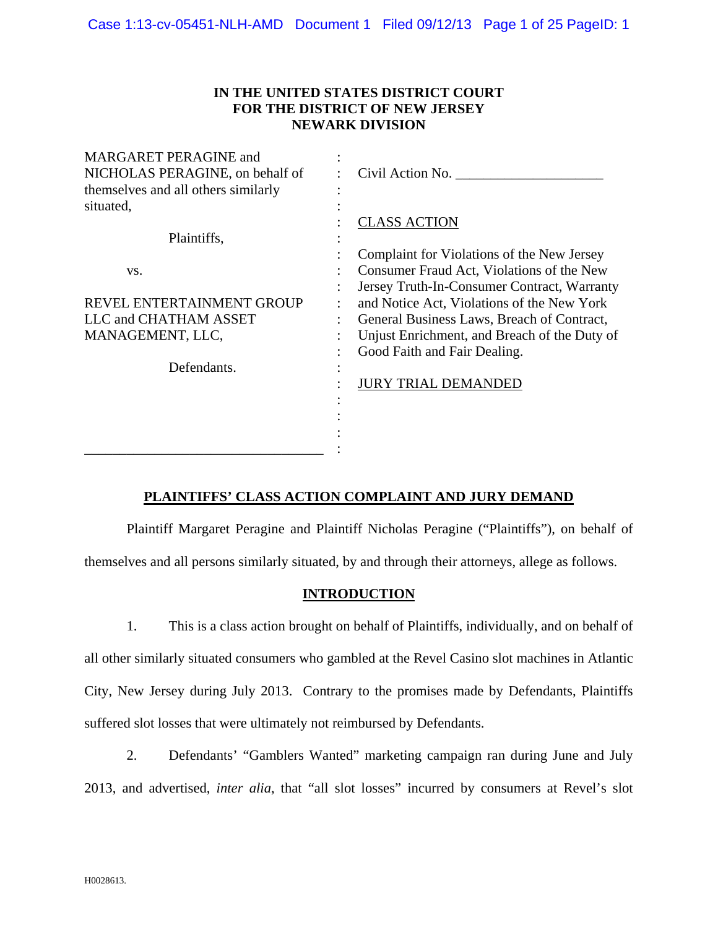## **IN THE UNITED STATES DISTRICT COURT FOR THE DISTRICT OF NEW JERSEY NEWARK DIVISION**

| <b>MARGARET PERAGINE and</b><br>NICHOLAS PERAGINE, on behalf of<br>themselves and all others similarly<br>situated, | Civil Action No.                             |  |  |  |  |  |  |
|---------------------------------------------------------------------------------------------------------------------|----------------------------------------------|--|--|--|--|--|--|
|                                                                                                                     | <b>CLASS ACTION</b>                          |  |  |  |  |  |  |
| Plaintiffs,                                                                                                         |                                              |  |  |  |  |  |  |
|                                                                                                                     | Complaint for Violations of the New Jersey   |  |  |  |  |  |  |
| VS.                                                                                                                 | Consumer Fraud Act, Violations of the New    |  |  |  |  |  |  |
|                                                                                                                     | Jersey Truth-In-Consumer Contract, Warranty  |  |  |  |  |  |  |
| REVEL ENTERTAINMENT GROUP                                                                                           | and Notice Act, Violations of the New York   |  |  |  |  |  |  |
| LLC and CHATHAM ASSET                                                                                               | General Business Laws, Breach of Contract,   |  |  |  |  |  |  |
| MANAGEMENT, LLC,                                                                                                    | Unjust Enrichment, and Breach of the Duty of |  |  |  |  |  |  |
|                                                                                                                     | Good Faith and Fair Dealing.                 |  |  |  |  |  |  |
| Defendants.                                                                                                         |                                              |  |  |  |  |  |  |
|                                                                                                                     | <b>JURY TRIAL DEMANDED</b>                   |  |  |  |  |  |  |
|                                                                                                                     |                                              |  |  |  |  |  |  |
|                                                                                                                     |                                              |  |  |  |  |  |  |
|                                                                                                                     |                                              |  |  |  |  |  |  |
|                                                                                                                     |                                              |  |  |  |  |  |  |
|                                                                                                                     |                                              |  |  |  |  |  |  |

## **PLAINTIFFS' CLASS ACTION COMPLAINT AND JURY DEMAND**

 Plaintiff Margaret Peragine and Plaintiff Nicholas Peragine ("Plaintiffs"), on behalf of themselves and all persons similarly situated, by and through their attorneys, allege as follows.

## **INTRODUCTION**

1. This is a class action brought on behalf of Plaintiffs, individually, and on behalf of all other similarly situated consumers who gambled at the Revel Casino slot machines in Atlantic City, New Jersey during July 2013. Contrary to the promises made by Defendants, Plaintiffs suffered slot losses that were ultimately not reimbursed by Defendants.

2. Defendants' "Gamblers Wanted" marketing campaign ran during June and July 2013, and advertised, *inter alia*, that "all slot losses" incurred by consumers at Revel's slot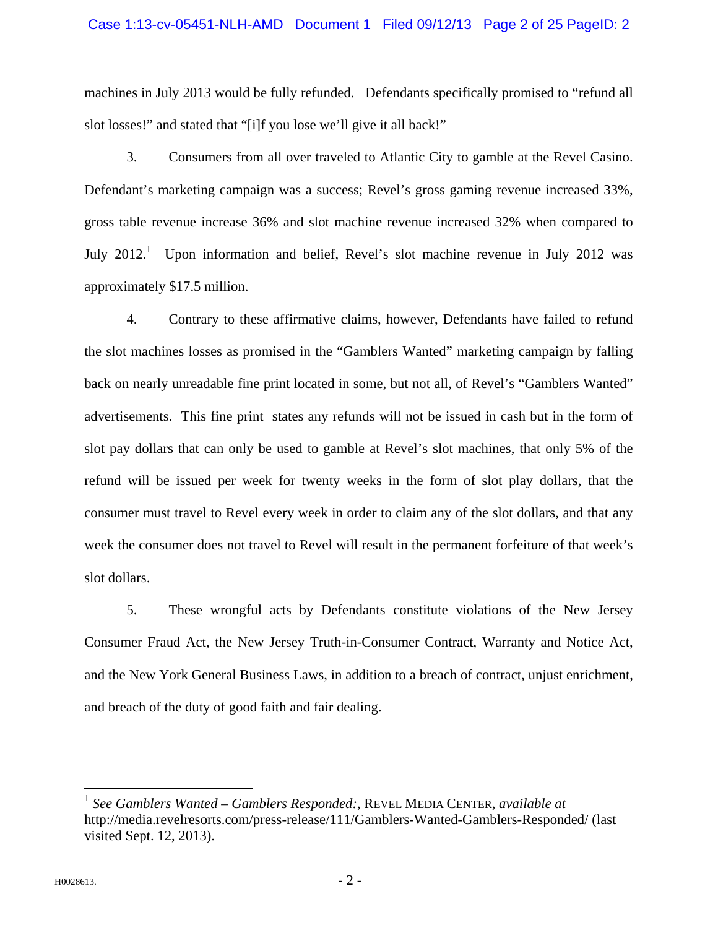#### Case 1:13-cv-05451-NLH-AMD Document 1 Filed 09/12/13 Page 2 of 25 PageID: 2

machines in July 2013 would be fully refunded. Defendants specifically promised to "refund all slot losses!" and stated that "[i]f you lose we'll give it all back!"

3. Consumers from all over traveled to Atlantic City to gamble at the Revel Casino. Defendant's marketing campaign was a success; Revel's gross gaming revenue increased 33%, gross table revenue increase 36% and slot machine revenue increased 32% when compared to July  $2012<sup>1</sup>$  Upon information and belief, Revel's slot machine revenue in July 2012 was approximately \$17.5 million.

4. Contrary to these affirmative claims, however, Defendants have failed to refund the slot machines losses as promised in the "Gamblers Wanted" marketing campaign by falling back on nearly unreadable fine print located in some, but not all, of Revel's "Gamblers Wanted" advertisements. This fine print states any refunds will not be issued in cash but in the form of slot pay dollars that can only be used to gamble at Revel's slot machines, that only 5% of the refund will be issued per week for twenty weeks in the form of slot play dollars, that the consumer must travel to Revel every week in order to claim any of the slot dollars, and that any week the consumer does not travel to Revel will result in the permanent forfeiture of that week's slot dollars.

5. These wrongful acts by Defendants constitute violations of the New Jersey Consumer Fraud Act, the New Jersey Truth-in-Consumer Contract, Warranty and Notice Act, and the New York General Business Laws, in addition to a breach of contract, unjust enrichment, and breach of the duty of good faith and fair dealing.

<sup>1</sup> *See Gamblers Wanted – Gamblers Responded:*, REVEL MEDIA CENTER, *available at* http://media.revelresorts.com/press-release/111/Gamblers-Wanted-Gamblers-Responded/ (last visited Sept. 12, 2013).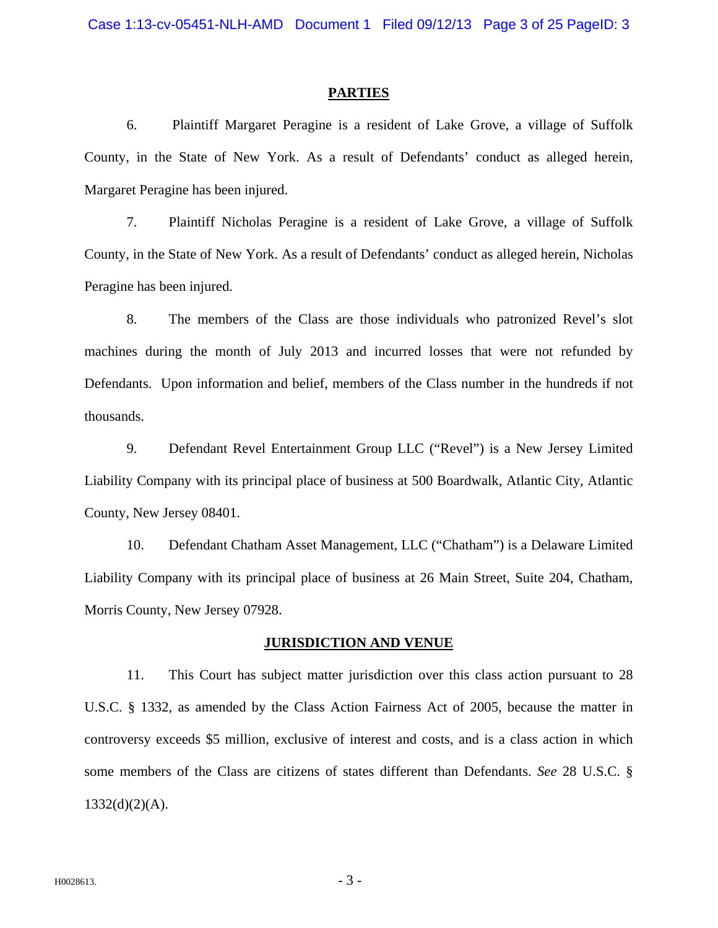#### **PARTIES**

6. Plaintiff Margaret Peragine is a resident of Lake Grove, a village of Suffolk County, in the State of New York. As a result of Defendants' conduct as alleged herein, Margaret Peragine has been injured.

7. Plaintiff Nicholas Peragine is a resident of Lake Grove, a village of Suffolk County, in the State of New York. As a result of Defendants' conduct as alleged herein, Nicholas Peragine has been injured.

8. The members of the Class are those individuals who patronized Revel's slot machines during the month of July 2013 and incurred losses that were not refunded by Defendants. Upon information and belief, members of the Class number in the hundreds if not thousands.

9. Defendant Revel Entertainment Group LLC ("Revel") is a New Jersey Limited Liability Company with its principal place of business at 500 Boardwalk, Atlantic City, Atlantic County, New Jersey 08401.

10. Defendant Chatham Asset Management, LLC ("Chatham") is a Delaware Limited Liability Company with its principal place of business at 26 Main Street, Suite 204, Chatham, Morris County, New Jersey 07928.

#### **JURISDICTION AND VENUE**

11. This Court has subject matter jurisdiction over this class action pursuant to 28 U.S.C. § 1332, as amended by the Class Action Fairness Act of 2005, because the matter in controversy exceeds \$5 million, exclusive of interest and costs, and is a class action in which some members of the Class are citizens of states different than Defendants. *See* 28 U.S.C. §  $1332(d)(2)(A)$ .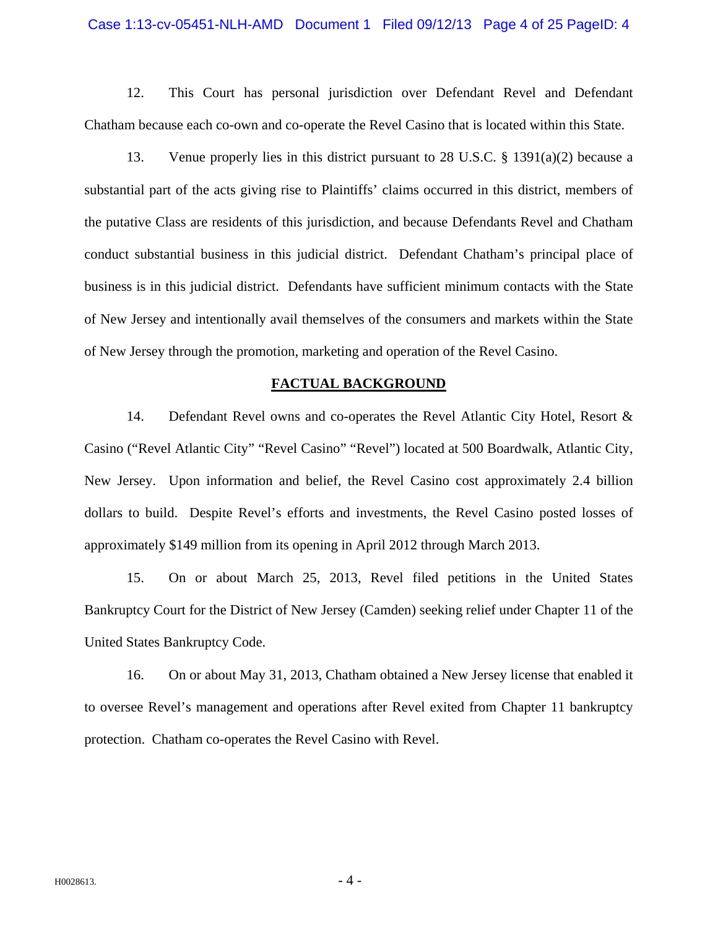#### Case 1:13-cv-05451-NLH-AMD Document 1 Filed 09/12/13 Page 4 of 25 PageID: 4

12. This Court has personal jurisdiction over Defendant Revel and Defendant Chatham because each co-own and co-operate the Revel Casino that is located within this State.

13. Venue properly lies in this district pursuant to 28 U.S.C. § 1391(a)(2) because a substantial part of the acts giving rise to Plaintiffs' claims occurred in this district, members of the putative Class are residents of this jurisdiction, and because Defendants Revel and Chatham conduct substantial business in this judicial district. Defendant Chatham's principal place of business is in this judicial district. Defendants have sufficient minimum contacts with the State of New Jersey and intentionally avail themselves of the consumers and markets within the State of New Jersey through the promotion, marketing and operation of the Revel Casino.

#### **FACTUAL BACKGROUND**

14. Defendant Revel owns and co-operates the Revel Atlantic City Hotel, Resort & Casino ("Revel Atlantic City" "Revel Casino" "Revel") located at 500 Boardwalk, Atlantic City, New Jersey. Upon information and belief, the Revel Casino cost approximately 2.4 billion dollars to build. Despite Revel's efforts and investments, the Revel Casino posted losses of approximately \$149 million from its opening in April 2012 through March 2013.

15. On or about March 25, 2013, Revel filed petitions in the United States Bankruptcy Court for the District of New Jersey (Camden) seeking relief under Chapter 11 of the United States Bankruptcy Code.

16. On or about May 31, 2013, Chatham obtained a New Jersey license that enabled it to oversee Revel's management and operations after Revel exited from Chapter 11 bankruptcy protection. Chatham co-operates the Revel Casino with Revel.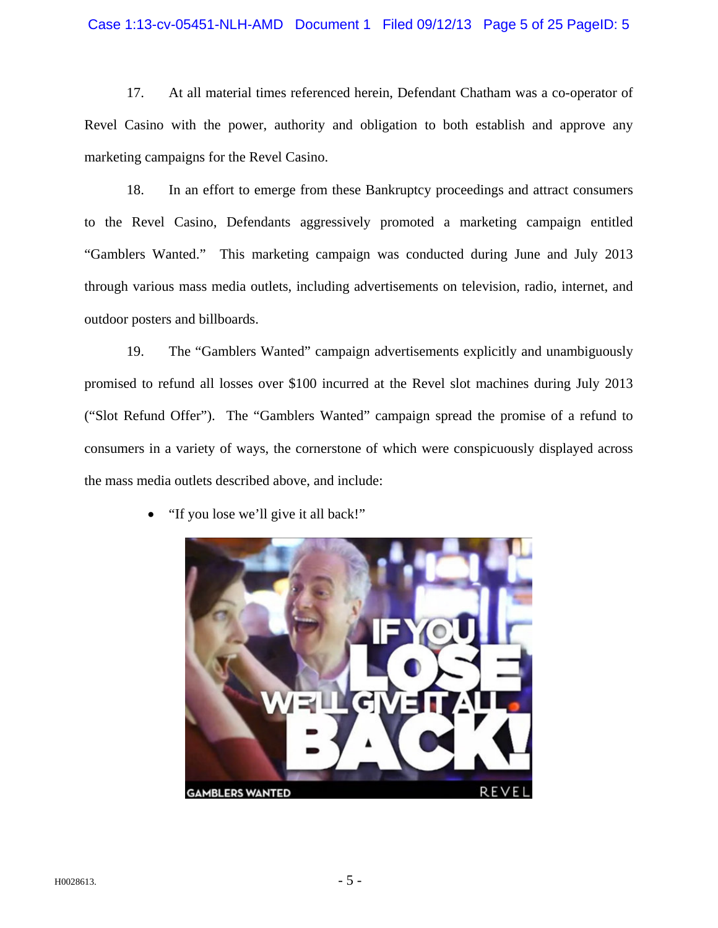#### Case 1:13-cv-05451-NLH-AMD Document 1 Filed 09/12/13 Page 5 of 25 PageID: 5

17. At all material times referenced herein, Defendant Chatham was a co-operator of Revel Casino with the power, authority and obligation to both establish and approve any marketing campaigns for the Revel Casino.

18. In an effort to emerge from these Bankruptcy proceedings and attract consumers to the Revel Casino, Defendants aggressively promoted a marketing campaign entitled "Gamblers Wanted." This marketing campaign was conducted during June and July 2013 through various mass media outlets, including advertisements on television, radio, internet, and outdoor posters and billboards.

19. The "Gamblers Wanted" campaign advertisements explicitly and unambiguously promised to refund all losses over \$100 incurred at the Revel slot machines during July 2013 ("Slot Refund Offer"). The "Gamblers Wanted" campaign spread the promise of a refund to consumers in a variety of ways, the cornerstone of which were conspicuously displayed across the mass media outlets described above, and include:



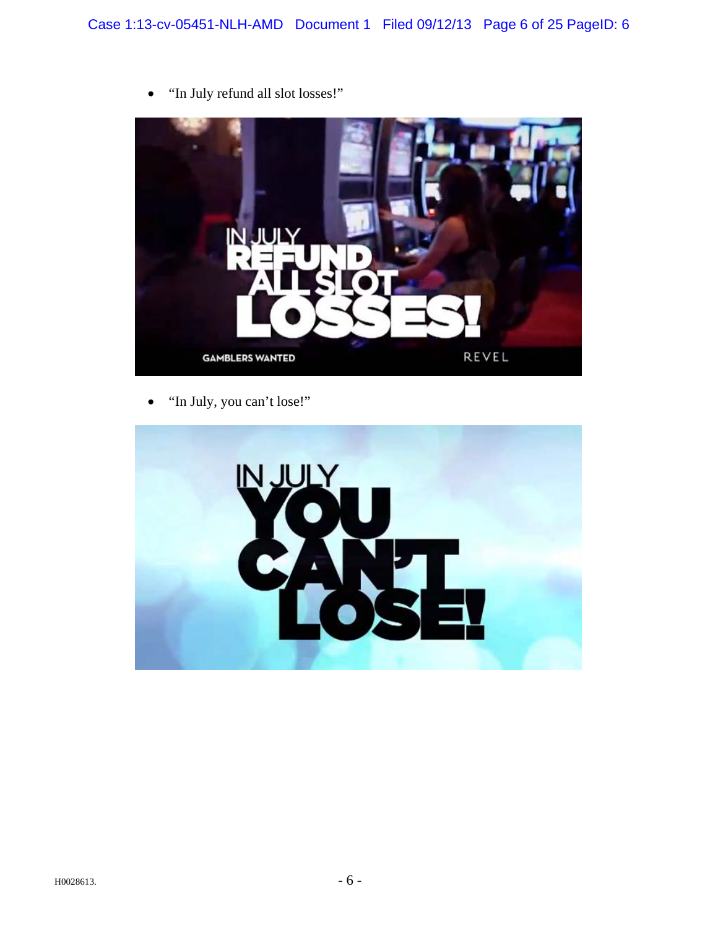

"In July refund all slot losses!"

"In July, you can't lose!"

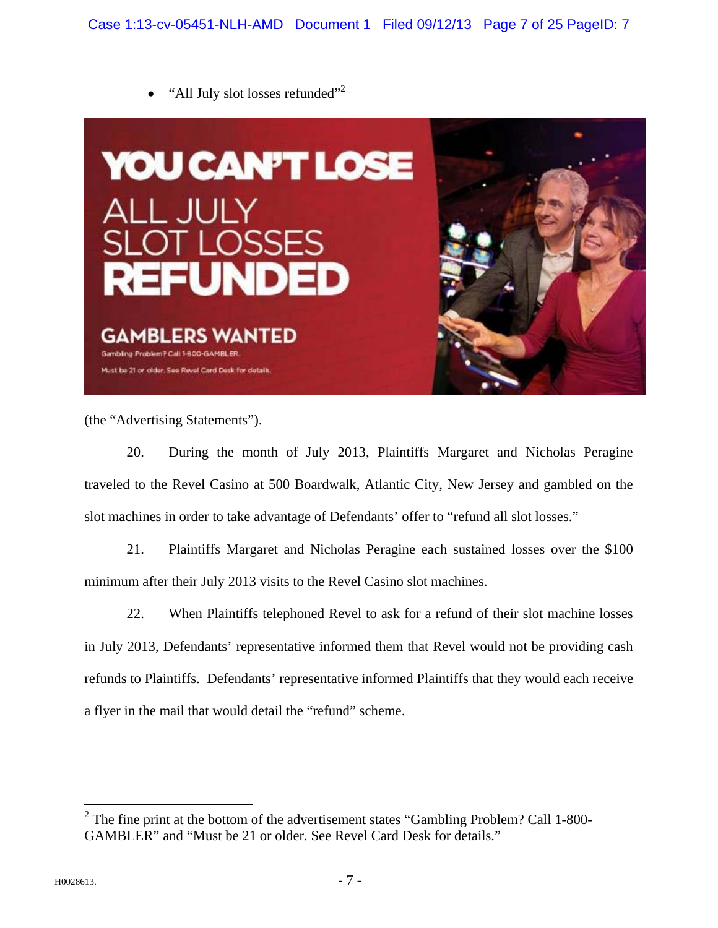$\bullet$  "All July slot losses refunded"<sup>2</sup>



(the "Advertising Statements").

20. During the month of July 2013, Plaintiffs Margaret and Nicholas Peragine traveled to the Revel Casino at 500 Boardwalk, Atlantic City, New Jersey and gambled on the slot machines in order to take advantage of Defendants' offer to "refund all slot losses."

21. Plaintiffs Margaret and Nicholas Peragine each sustained losses over the \$100 minimum after their July 2013 visits to the Revel Casino slot machines.

22. When Plaintiffs telephoned Revel to ask for a refund of their slot machine losses in July 2013, Defendants' representative informed them that Revel would not be providing cash refunds to Plaintiffs. Defendants' representative informed Plaintiffs that they would each receive a flyer in the mail that would detail the "refund" scheme.

 $2$  The fine print at the bottom of the advertisement states "Gambling Problem? Call 1-800-GAMBLER" and "Must be 21 or older. See Revel Card Desk for details."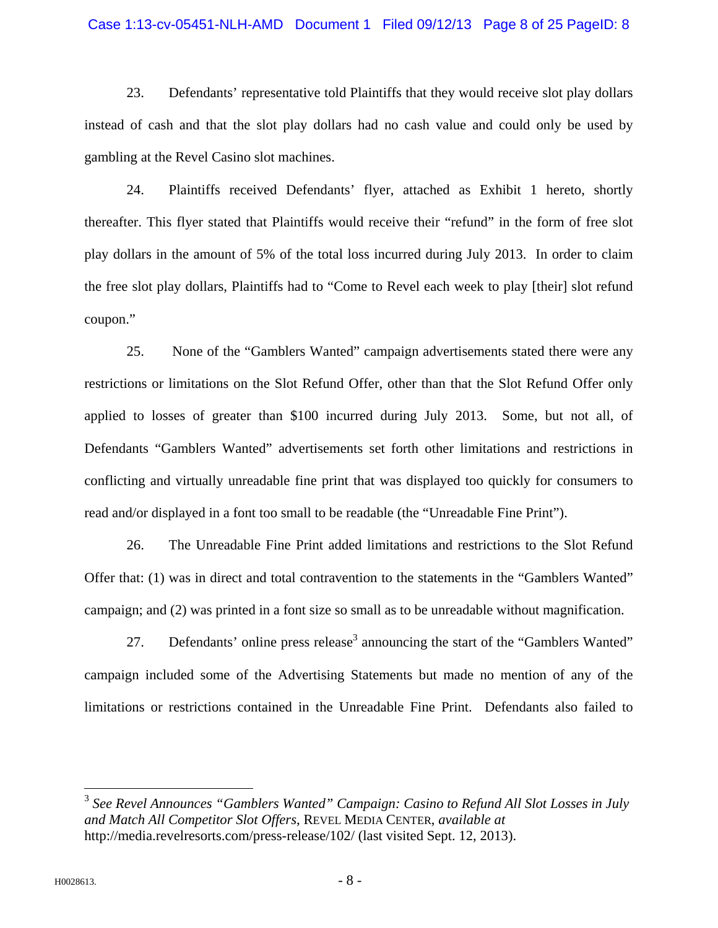#### Case 1:13-cv-05451-NLH-AMD Document 1 Filed 09/12/13 Page 8 of 25 PageID: 8

23. Defendants' representative told Plaintiffs that they would receive slot play dollars instead of cash and that the slot play dollars had no cash value and could only be used by gambling at the Revel Casino slot machines.

24. Plaintiffs received Defendants' flyer, attached as Exhibit 1 hereto, shortly thereafter. This flyer stated that Plaintiffs would receive their "refund" in the form of free slot play dollars in the amount of 5% of the total loss incurred during July 2013. In order to claim the free slot play dollars, Plaintiffs had to "Come to Revel each week to play [their] slot refund coupon."

25. None of the "Gamblers Wanted" campaign advertisements stated there were any restrictions or limitations on the Slot Refund Offer, other than that the Slot Refund Offer only applied to losses of greater than \$100 incurred during July 2013. Some, but not all, of Defendants "Gamblers Wanted" advertisements set forth other limitations and restrictions in conflicting and virtually unreadable fine print that was displayed too quickly for consumers to read and/or displayed in a font too small to be readable (the "Unreadable Fine Print").

26. The Unreadable Fine Print added limitations and restrictions to the Slot Refund Offer that: (1) was in direct and total contravention to the statements in the "Gamblers Wanted" campaign; and (2) was printed in a font size so small as to be unreadable without magnification.

27. Defendants' online press release<sup>3</sup> announcing the start of the "Gamblers Wanted" campaign included some of the Advertising Statements but made no mention of any of the limitations or restrictions contained in the Unreadable Fine Print. Defendants also failed to

<sup>3</sup> *See Revel Announces "Gamblers Wanted" Campaign: Casino to Refund All Slot Losses in July and Match All Competitor Slot Offers*, REVEL MEDIA CENTER, *available at* http://media.revelresorts.com/press-release/102/ (last visited Sept. 12, 2013).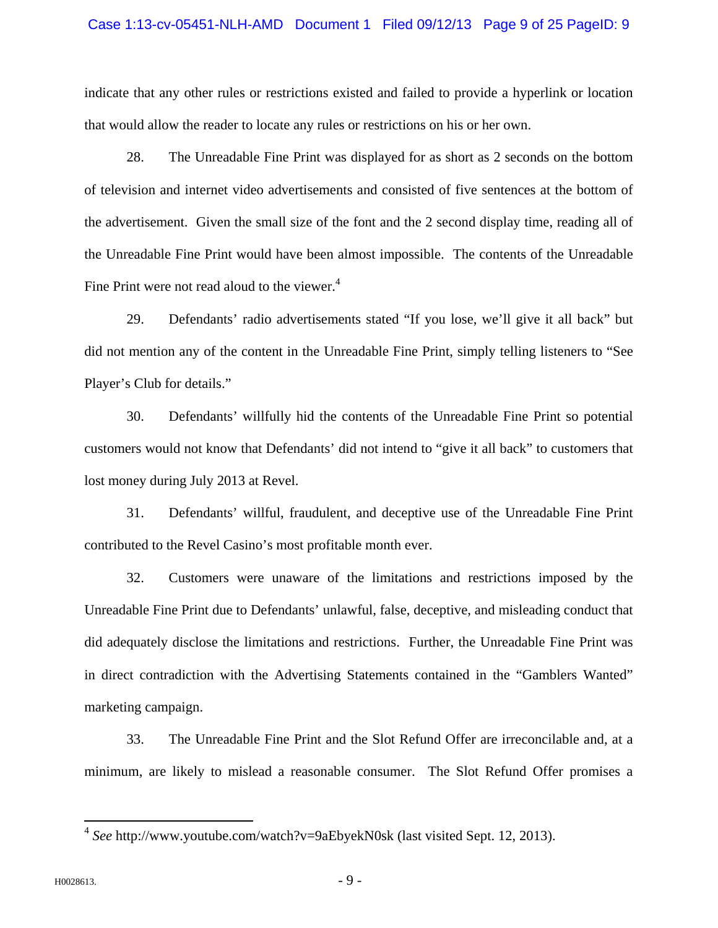#### Case 1:13-cv-05451-NLH-AMD Document 1 Filed 09/12/13 Page 9 of 25 PageID: 9

indicate that any other rules or restrictions existed and failed to provide a hyperlink or location that would allow the reader to locate any rules or restrictions on his or her own.

28. The Unreadable Fine Print was displayed for as short as 2 seconds on the bottom of television and internet video advertisements and consisted of five sentences at the bottom of the advertisement. Given the small size of the font and the 2 second display time, reading all of the Unreadable Fine Print would have been almost impossible. The contents of the Unreadable Fine Print were not read aloud to the viewer. $4$ 

29. Defendants' radio advertisements stated "If you lose, we'll give it all back" but did not mention any of the content in the Unreadable Fine Print, simply telling listeners to "See Player's Club for details."

30. Defendants' willfully hid the contents of the Unreadable Fine Print so potential customers would not know that Defendants' did not intend to "give it all back" to customers that lost money during July 2013 at Revel.

31. Defendants' willful, fraudulent, and deceptive use of the Unreadable Fine Print contributed to the Revel Casino's most profitable month ever.

32. Customers were unaware of the limitations and restrictions imposed by the Unreadable Fine Print due to Defendants' unlawful, false, deceptive, and misleading conduct that did adequately disclose the limitations and restrictions. Further, the Unreadable Fine Print was in direct contradiction with the Advertising Statements contained in the "Gamblers Wanted" marketing campaign.

33. The Unreadable Fine Print and the Slot Refund Offer are irreconcilable and, at a minimum, are likely to mislead a reasonable consumer. The Slot Refund Offer promises a

<sup>4</sup> *See* http://www.youtube.com/watch?v=9aEbyekN0sk (last visited Sept. 12, 2013).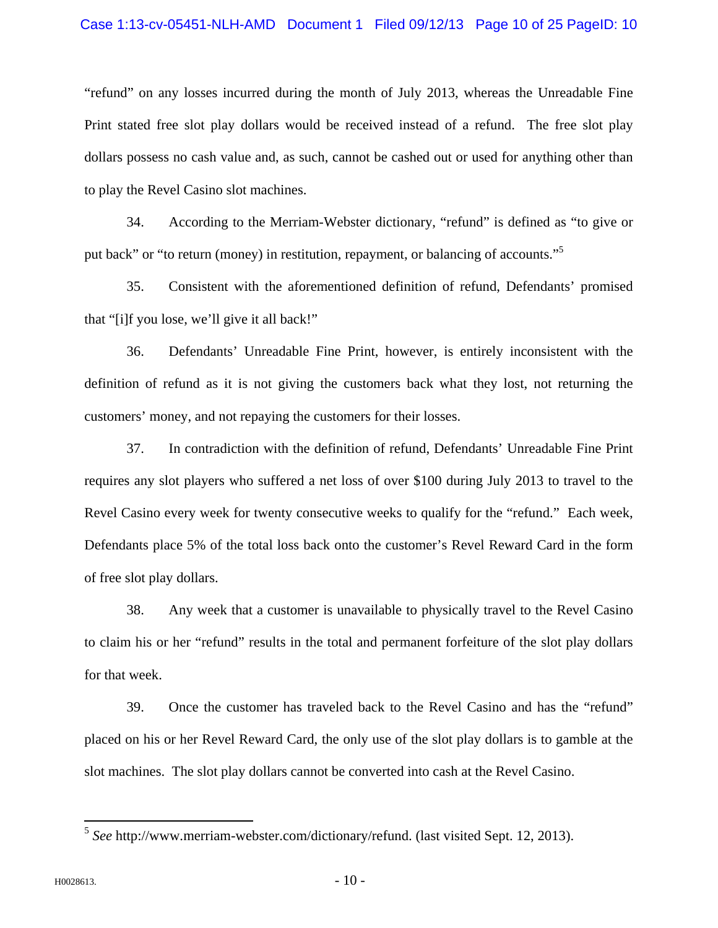#### Case 1:13-cv-05451-NLH-AMD Document 1 Filed 09/12/13 Page 10 of 25 PageID: 10

"refund" on any losses incurred during the month of July 2013, whereas the Unreadable Fine Print stated free slot play dollars would be received instead of a refund. The free slot play dollars possess no cash value and, as such, cannot be cashed out or used for anything other than to play the Revel Casino slot machines.

34. According to the Merriam-Webster dictionary, "refund" is defined as "to give or put back" or "to return (money) in restitution, repayment, or balancing of accounts."<sup>5</sup>

35. Consistent with the aforementioned definition of refund, Defendants' promised that "[i]f you lose, we'll give it all back!"

36. Defendants' Unreadable Fine Print, however, is entirely inconsistent with the definition of refund as it is not giving the customers back what they lost, not returning the customers' money, and not repaying the customers for their losses.

37. In contradiction with the definition of refund, Defendants' Unreadable Fine Print requires any slot players who suffered a net loss of over \$100 during July 2013 to travel to the Revel Casino every week for twenty consecutive weeks to qualify for the "refund." Each week, Defendants place 5% of the total loss back onto the customer's Revel Reward Card in the form of free slot play dollars.

38. Any week that a customer is unavailable to physically travel to the Revel Casino to claim his or her "refund" results in the total and permanent forfeiture of the slot play dollars for that week.

39. Once the customer has traveled back to the Revel Casino and has the "refund" placed on his or her Revel Reward Card, the only use of the slot play dollars is to gamble at the slot machines. The slot play dollars cannot be converted into cash at the Revel Casino.

<sup>5</sup> *See* http://www.merriam-webster.com/dictionary/refund. (last visited Sept. 12, 2013).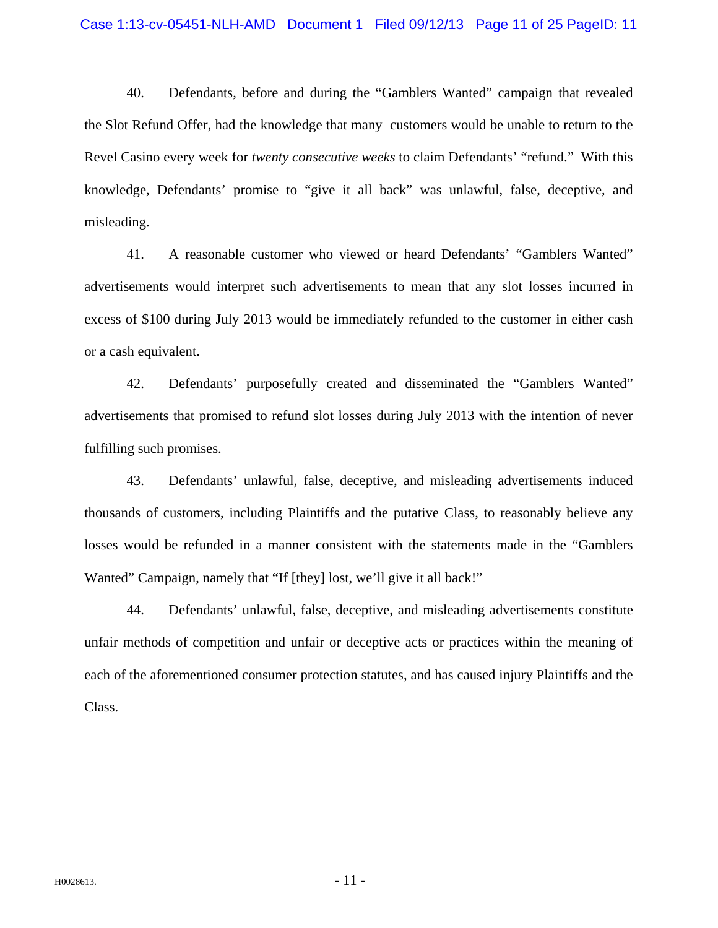#### Case 1:13-cv-05451-NLH-AMD Document 1 Filed 09/12/13 Page 11 of 25 PageID: 11

40. Defendants, before and during the "Gamblers Wanted" campaign that revealed the Slot Refund Offer, had the knowledge that many customers would be unable to return to the Revel Casino every week for *twenty consecutive weeks* to claim Defendants' "refund." With this knowledge, Defendants' promise to "give it all back" was unlawful, false, deceptive, and misleading.

41. A reasonable customer who viewed or heard Defendants' "Gamblers Wanted" advertisements would interpret such advertisements to mean that any slot losses incurred in excess of \$100 during July 2013 would be immediately refunded to the customer in either cash or a cash equivalent.

42. Defendants' purposefully created and disseminated the "Gamblers Wanted" advertisements that promised to refund slot losses during July 2013 with the intention of never fulfilling such promises.

43. Defendants' unlawful, false, deceptive, and misleading advertisements induced thousands of customers, including Plaintiffs and the putative Class, to reasonably believe any losses would be refunded in a manner consistent with the statements made in the "Gamblers Wanted" Campaign, namely that "If [they] lost, we'll give it all back!"

44. Defendants' unlawful, false, deceptive, and misleading advertisements constitute unfair methods of competition and unfair or deceptive acts or practices within the meaning of each of the aforementioned consumer protection statutes, and has caused injury Plaintiffs and the Class.

 $H0028613.$  - 11 -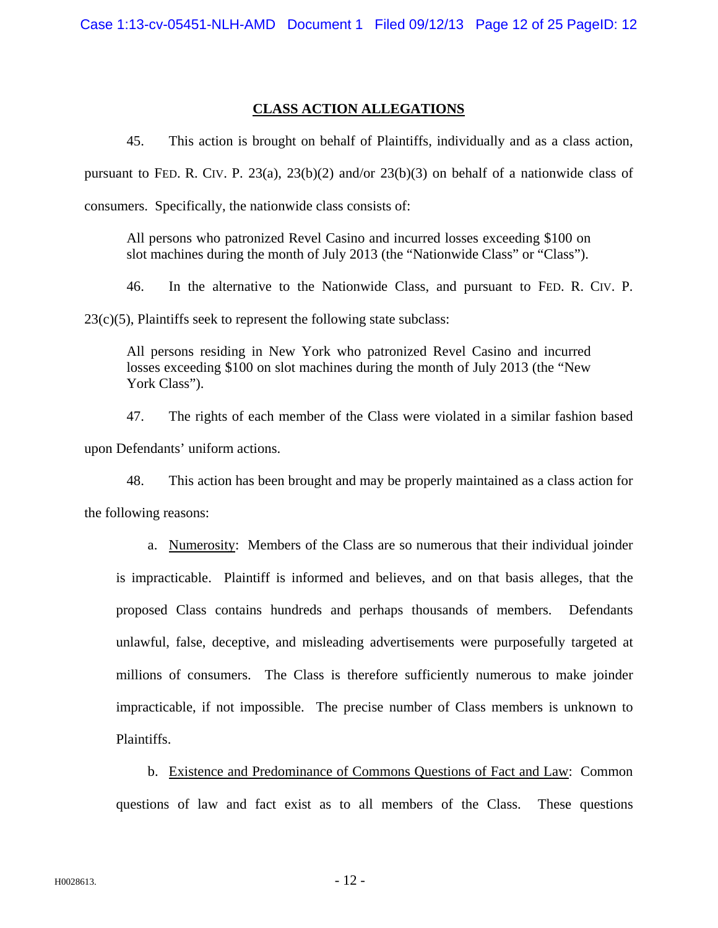## **CLASS ACTION ALLEGATIONS**

45. This action is brought on behalf of Plaintiffs, individually and as a class action,

pursuant to FED. R. CIV. P. 23(a), 23(b)(2) and/or 23(b)(3) on behalf of a nationwide class of

consumers. Specifically, the nationwide class consists of:

All persons who patronized Revel Casino and incurred losses exceeding \$100 on slot machines during the month of July 2013 (the "Nationwide Class" or "Class").

46. In the alternative to the Nationwide Class, and pursuant to FED. R. CIV. P.

 $23(c)(5)$ , Plaintiffs seek to represent the following state subclass:

All persons residing in New York who patronized Revel Casino and incurred losses exceeding \$100 on slot machines during the month of July 2013 (the "New York Class").

47. The rights of each member of the Class were violated in a similar fashion based upon Defendants' uniform actions.

48. This action has been brought and may be properly maintained as a class action for the following reasons:

a. Numerosity: Members of the Class are so numerous that their individual joinder is impracticable. Plaintiff is informed and believes, and on that basis alleges, that the proposed Class contains hundreds and perhaps thousands of members. Defendants unlawful, false, deceptive, and misleading advertisements were purposefully targeted at millions of consumers. The Class is therefore sufficiently numerous to make joinder impracticable, if not impossible. The precise number of Class members is unknown to Plaintiffs.

b. Existence and Predominance of Commons Questions of Fact and Law: Common questions of law and fact exist as to all members of the Class. These questions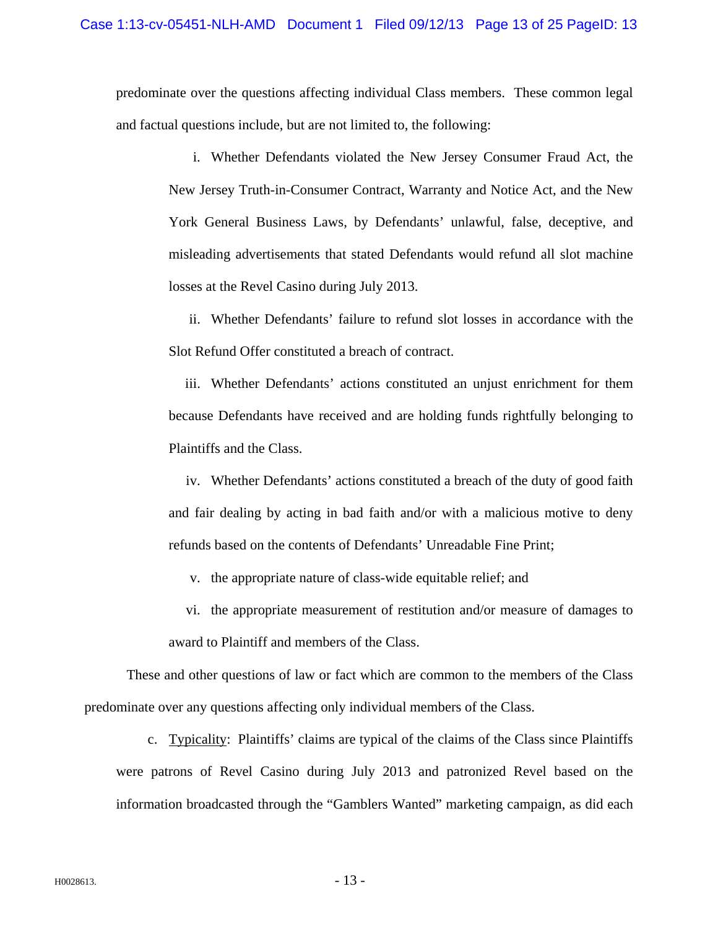predominate over the questions affecting individual Class members. These common legal and factual questions include, but are not limited to, the following:

i. Whether Defendants violated the New Jersey Consumer Fraud Act, the New Jersey Truth-in-Consumer Contract, Warranty and Notice Act, and the New York General Business Laws, by Defendants' unlawful, false, deceptive, and misleading advertisements that stated Defendants would refund all slot machine losses at the Revel Casino during July 2013.

ii. Whether Defendants' failure to refund slot losses in accordance with the Slot Refund Offer constituted a breach of contract.

iii. Whether Defendants' actions constituted an unjust enrichment for them because Defendants have received and are holding funds rightfully belonging to Plaintiffs and the Class.

iv. Whether Defendants' actions constituted a breach of the duty of good faith and fair dealing by acting in bad faith and/or with a malicious motive to deny refunds based on the contents of Defendants' Unreadable Fine Print;

- v. the appropriate nature of class-wide equitable relief; and
- vi. the appropriate measurement of restitution and/or measure of damages to award to Plaintiff and members of the Class.

These and other questions of law or fact which are common to the members of the Class predominate over any questions affecting only individual members of the Class.

c. Typicality: Plaintiffs' claims are typical of the claims of the Class since Plaintiffs were patrons of Revel Casino during July 2013 and patronized Revel based on the information broadcasted through the "Gamblers Wanted" marketing campaign, as did each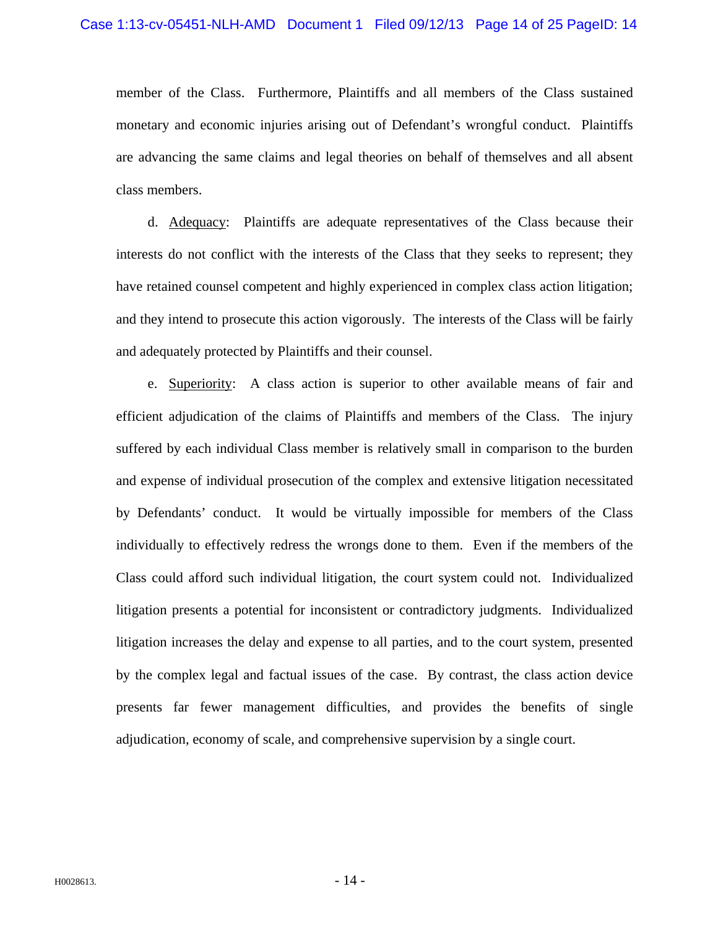member of the Class. Furthermore, Plaintiffs and all members of the Class sustained monetary and economic injuries arising out of Defendant's wrongful conduct. Plaintiffs are advancing the same claims and legal theories on behalf of themselves and all absent class members.

d. Adequacy: Plaintiffs are adequate representatives of the Class because their interests do not conflict with the interests of the Class that they seeks to represent; they have retained counsel competent and highly experienced in complex class action litigation; and they intend to prosecute this action vigorously. The interests of the Class will be fairly and adequately protected by Plaintiffs and their counsel.

e. Superiority: A class action is superior to other available means of fair and efficient adjudication of the claims of Plaintiffs and members of the Class. The injury suffered by each individual Class member is relatively small in comparison to the burden and expense of individual prosecution of the complex and extensive litigation necessitated by Defendants' conduct. It would be virtually impossible for members of the Class individually to effectively redress the wrongs done to them. Even if the members of the Class could afford such individual litigation, the court system could not. Individualized litigation presents a potential for inconsistent or contradictory judgments. Individualized litigation increases the delay and expense to all parties, and to the court system, presented by the complex legal and factual issues of the case. By contrast, the class action device presents far fewer management difficulties, and provides the benefits of single adjudication, economy of scale, and comprehensive supervision by a single court.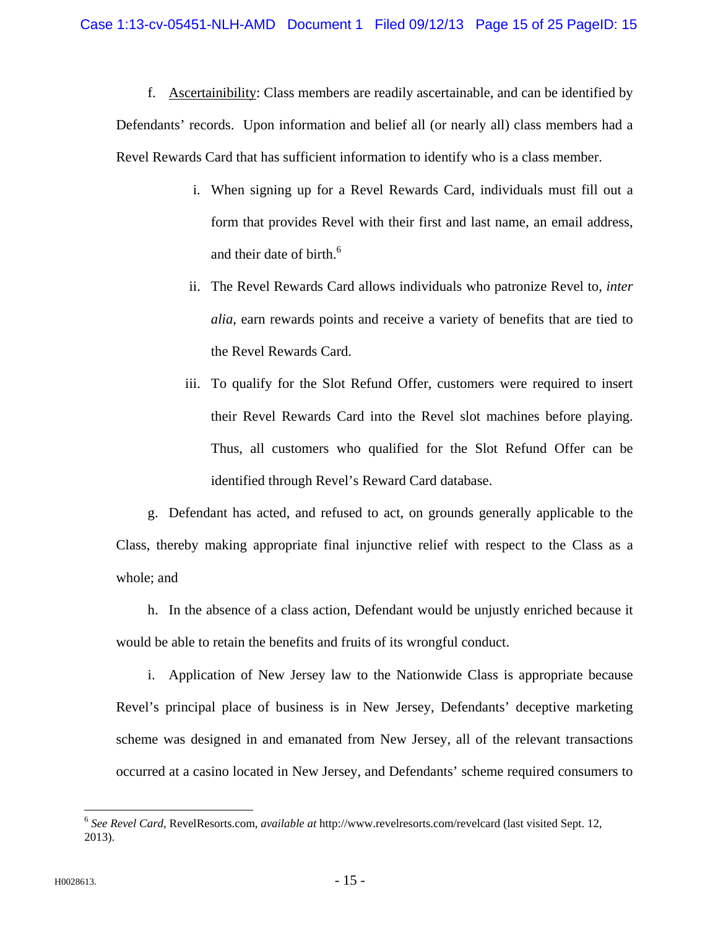f. Ascertainibility: Class members are readily ascertainable, and can be identified by Defendants' records. Upon information and belief all (or nearly all) class members had a Revel Rewards Card that has sufficient information to identify who is a class member.

- i. When signing up for a Revel Rewards Card, individuals must fill out a form that provides Revel with their first and last name, an email address, and their date of birth.<sup>6</sup>
- ii. The Revel Rewards Card allows individuals who patronize Revel to, *inter alia*, earn rewards points and receive a variety of benefits that are tied to the Revel Rewards Card.
- iii. To qualify for the Slot Refund Offer, customers were required to insert their Revel Rewards Card into the Revel slot machines before playing. Thus, all customers who qualified for the Slot Refund Offer can be identified through Revel's Reward Card database.

g. Defendant has acted, and refused to act, on grounds generally applicable to the Class, thereby making appropriate final injunctive relief with respect to the Class as a whole; and

h. In the absence of a class action, Defendant would be unjustly enriched because it would be able to retain the benefits and fruits of its wrongful conduct.

i. Application of New Jersey law to the Nationwide Class is appropriate because Revel's principal place of business is in New Jersey, Defendants' deceptive marketing scheme was designed in and emanated from New Jersey, all of the relevant transactions occurred at a casino located in New Jersey, and Defendants' scheme required consumers to

<sup>6</sup> *See Revel Card*, RevelResorts.com, *available at* http://www.revelresorts.com/revelcard (last visited Sept. 12, 2013).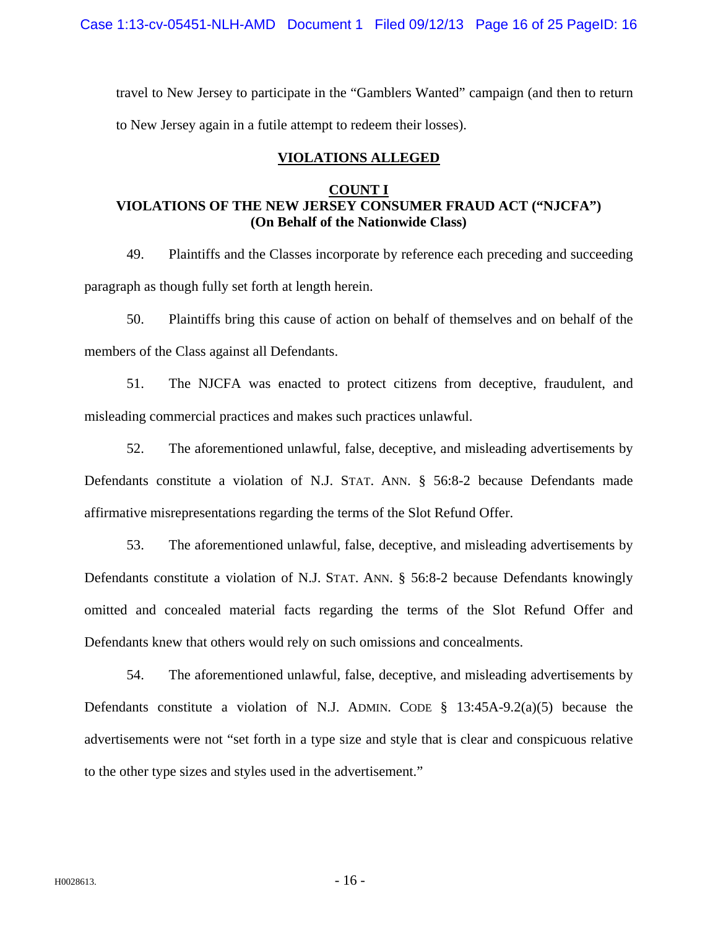Case 1:13-cv-05451-NLH-AMD Document 1 Filed 09/12/13 Page 16 of 25 PageID: 16

travel to New Jersey to participate in the "Gamblers Wanted" campaign (and then to return to New Jersey again in a futile attempt to redeem their losses).

## **VIOLATIONS ALLEGED**

## **COUNT I VIOLATIONS OF THE NEW JERSEY CONSUMER FRAUD ACT ("NJCFA") (On Behalf of the Nationwide Class)**

49. Plaintiffs and the Classes incorporate by reference each preceding and succeeding paragraph as though fully set forth at length herein.

50. Plaintiffs bring this cause of action on behalf of themselves and on behalf of the members of the Class against all Defendants.

51. The NJCFA was enacted to protect citizens from deceptive, fraudulent, and misleading commercial practices and makes such practices unlawful.

52. The aforementioned unlawful, false, deceptive, and misleading advertisements by Defendants constitute a violation of N.J. STAT. ANN. § 56:8-2 because Defendants made affirmative misrepresentations regarding the terms of the Slot Refund Offer.

53. The aforementioned unlawful, false, deceptive, and misleading advertisements by Defendants constitute a violation of N.J. STAT. ANN. § 56:8-2 because Defendants knowingly omitted and concealed material facts regarding the terms of the Slot Refund Offer and Defendants knew that others would rely on such omissions and concealments.

54. The aforementioned unlawful, false, deceptive, and misleading advertisements by Defendants constitute a violation of N.J. ADMIN. CODE  $\S$  13:45A-9.2(a)(5) because the advertisements were not "set forth in a type size and style that is clear and conspicuous relative to the other type sizes and styles used in the advertisement."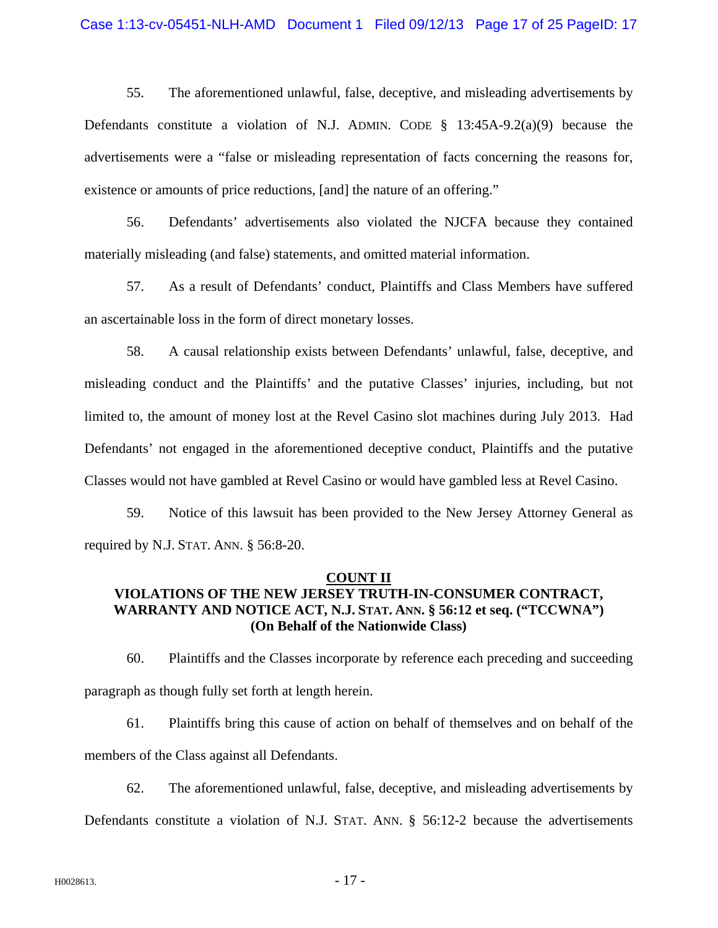55. The aforementioned unlawful, false, deceptive, and misleading advertisements by Defendants constitute a violation of N.J. ADMIN. CODE  $\S$  13:45A-9.2(a)(9) because the advertisements were a "false or misleading representation of facts concerning the reasons for, existence or amounts of price reductions, [and] the nature of an offering."

56. Defendants' advertisements also violated the NJCFA because they contained materially misleading (and false) statements, and omitted material information.

57. As a result of Defendants' conduct, Plaintiffs and Class Members have suffered an ascertainable loss in the form of direct monetary losses.

58. A causal relationship exists between Defendants' unlawful, false, deceptive, and misleading conduct and the Plaintiffs' and the putative Classes' injuries, including, but not limited to, the amount of money lost at the Revel Casino slot machines during July 2013. Had Defendants' not engaged in the aforementioned deceptive conduct, Plaintiffs and the putative Classes would not have gambled at Revel Casino or would have gambled less at Revel Casino.

59. Notice of this lawsuit has been provided to the New Jersey Attorney General as required by N.J. STAT. ANN. § 56:8-20.

#### **COUNT II**

## **VIOLATIONS OF THE NEW JERSEY TRUTH-IN-CONSUMER CONTRACT, WARRANTY AND NOTICE ACT, N.J. STAT. ANN. § 56:12 et seq. ("TCCWNA") (On Behalf of the Nationwide Class)**

60. Plaintiffs and the Classes incorporate by reference each preceding and succeeding paragraph as though fully set forth at length herein.

61. Plaintiffs bring this cause of action on behalf of themselves and on behalf of the members of the Class against all Defendants.

62. The aforementioned unlawful, false, deceptive, and misleading advertisements by Defendants constitute a violation of N.J. STAT. ANN. § 56:12-2 because the advertisements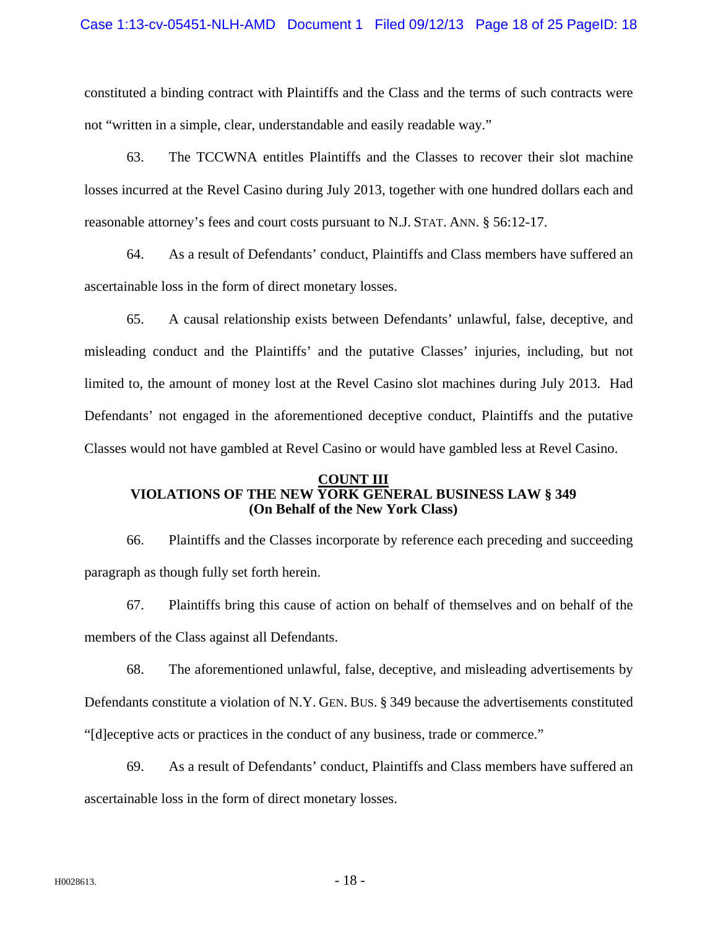constituted a binding contract with Plaintiffs and the Class and the terms of such contracts were not "written in a simple, clear, understandable and easily readable way."

63. The TCCWNA entitles Plaintiffs and the Classes to recover their slot machine losses incurred at the Revel Casino during July 2013, together with one hundred dollars each and reasonable attorney's fees and court costs pursuant to N.J. STAT. ANN. § 56:12-17.

64. As a result of Defendants' conduct, Plaintiffs and Class members have suffered an ascertainable loss in the form of direct monetary losses.

65. A causal relationship exists between Defendants' unlawful, false, deceptive, and misleading conduct and the Plaintiffs' and the putative Classes' injuries, including, but not limited to, the amount of money lost at the Revel Casino slot machines during July 2013. Had Defendants' not engaged in the aforementioned deceptive conduct, Plaintiffs and the putative Classes would not have gambled at Revel Casino or would have gambled less at Revel Casino.

## **COUNT III VIOLATIONS OF THE NEW YORK GENERAL BUSINESS LAW § 349 (On Behalf of the New York Class)**

66. Plaintiffs and the Classes incorporate by reference each preceding and succeeding paragraph as though fully set forth herein.

67. Plaintiffs bring this cause of action on behalf of themselves and on behalf of the members of the Class against all Defendants.

68. The aforementioned unlawful, false, deceptive, and misleading advertisements by Defendants constitute a violation of N.Y. GEN. BUS. § 349 because the advertisements constituted "[d]eceptive acts or practices in the conduct of any business, trade or commerce."

69. As a result of Defendants' conduct, Plaintiffs and Class members have suffered an ascertainable loss in the form of direct monetary losses.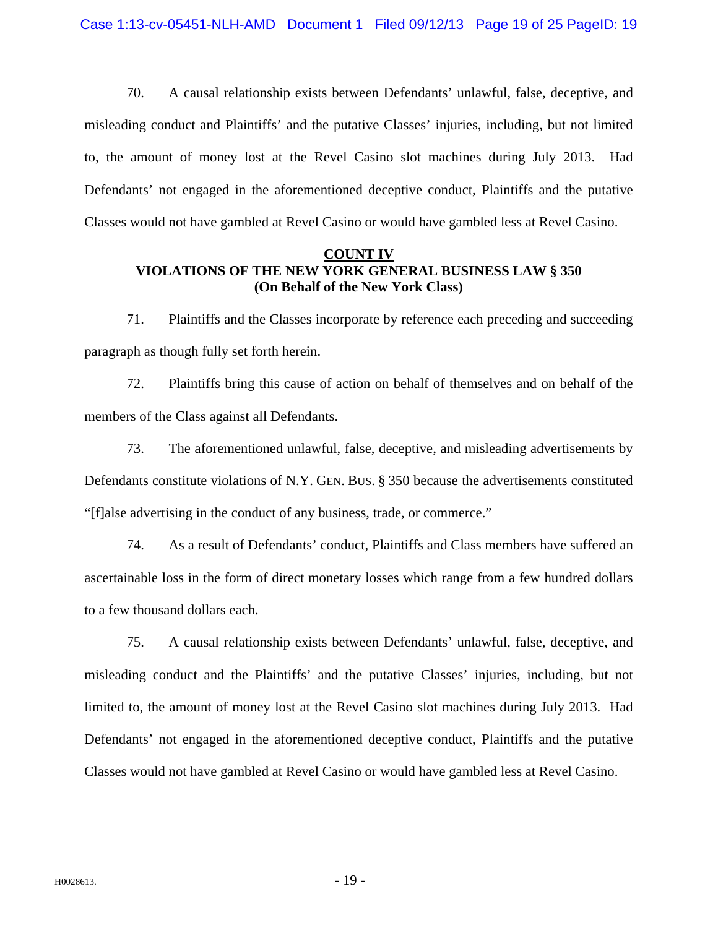70. A causal relationship exists between Defendants' unlawful, false, deceptive, and misleading conduct and Plaintiffs' and the putative Classes' injuries, including, but not limited to, the amount of money lost at the Revel Casino slot machines during July 2013. Had Defendants' not engaged in the aforementioned deceptive conduct, Plaintiffs and the putative Classes would not have gambled at Revel Casino or would have gambled less at Revel Casino.

## **COUNT IV VIOLATIONS OF THE NEW YORK GENERAL BUSINESS LAW § 350 (On Behalf of the New York Class)**

71. Plaintiffs and the Classes incorporate by reference each preceding and succeeding paragraph as though fully set forth herein.

72. Plaintiffs bring this cause of action on behalf of themselves and on behalf of the members of the Class against all Defendants.

73. The aforementioned unlawful, false, deceptive, and misleading advertisements by Defendants constitute violations of N.Y. GEN. BUS. § 350 because the advertisements constituted "[f]alse advertising in the conduct of any business, trade, or commerce."

74. As a result of Defendants' conduct, Plaintiffs and Class members have suffered an ascertainable loss in the form of direct monetary losses which range from a few hundred dollars to a few thousand dollars each.

75. A causal relationship exists between Defendants' unlawful, false, deceptive, and misleading conduct and the Plaintiffs' and the putative Classes' injuries, including, but not limited to, the amount of money lost at the Revel Casino slot machines during July 2013. Had Defendants' not engaged in the aforementioned deceptive conduct, Plaintiffs and the putative Classes would not have gambled at Revel Casino or would have gambled less at Revel Casino.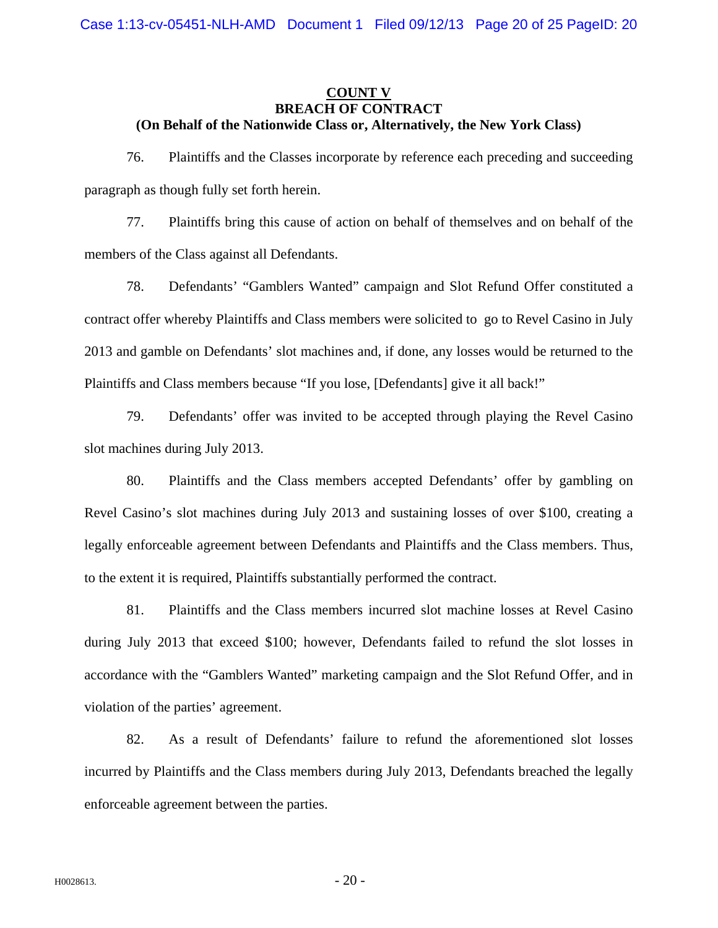## **COUNT V BREACH OF CONTRACT (On Behalf of the Nationwide Class or, Alternatively, the New York Class)**

76. Plaintiffs and the Classes incorporate by reference each preceding and succeeding paragraph as though fully set forth herein.

77. Plaintiffs bring this cause of action on behalf of themselves and on behalf of the members of the Class against all Defendants.

78. Defendants' "Gamblers Wanted" campaign and Slot Refund Offer constituted a contract offer whereby Plaintiffs and Class members were solicited to go to Revel Casino in July 2013 and gamble on Defendants' slot machines and, if done, any losses would be returned to the Plaintiffs and Class members because "If you lose, [Defendants] give it all back!"

79. Defendants' offer was invited to be accepted through playing the Revel Casino slot machines during July 2013.

80. Plaintiffs and the Class members accepted Defendants' offer by gambling on Revel Casino's slot machines during July 2013 and sustaining losses of over \$100, creating a legally enforceable agreement between Defendants and Plaintiffs and the Class members. Thus, to the extent it is required, Plaintiffs substantially performed the contract.

81. Plaintiffs and the Class members incurred slot machine losses at Revel Casino during July 2013 that exceed \$100; however, Defendants failed to refund the slot losses in accordance with the "Gamblers Wanted" marketing campaign and the Slot Refund Offer, and in violation of the parties' agreement.

82. As a result of Defendants' failure to refund the aforementioned slot losses incurred by Plaintiffs and the Class members during July 2013, Defendants breached the legally enforceable agreement between the parties.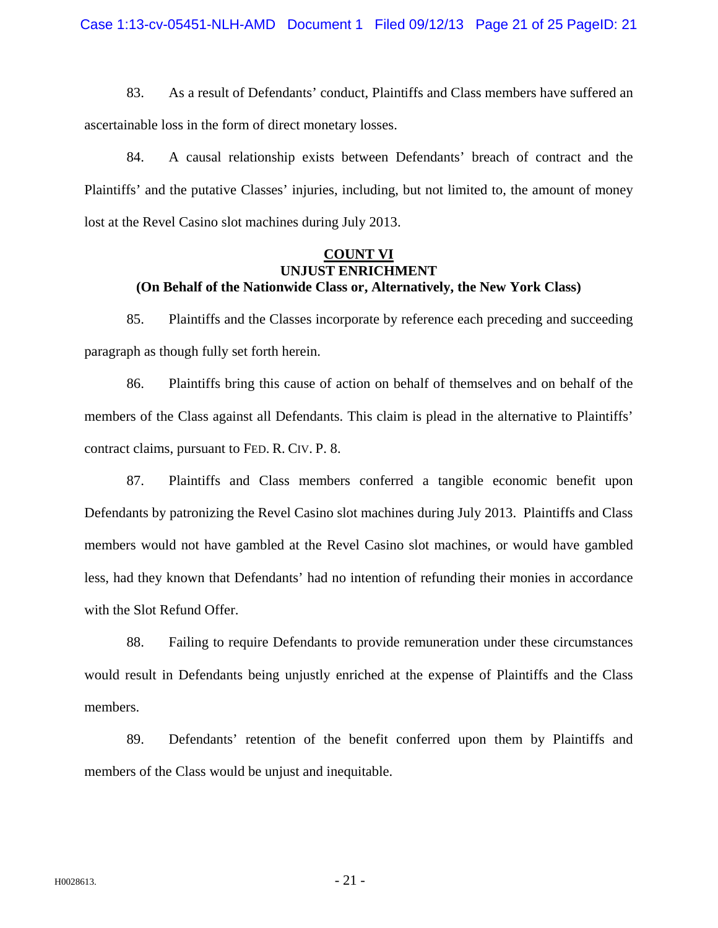83. As a result of Defendants' conduct, Plaintiffs and Class members have suffered an ascertainable loss in the form of direct monetary losses.

84. A causal relationship exists between Defendants' breach of contract and the Plaintiffs' and the putative Classes' injuries, including, but not limited to, the amount of money lost at the Revel Casino slot machines during July 2013.

#### **COUNT VI UNJUST ENRICHMENT (On Behalf of the Nationwide Class or, Alternatively, the New York Class)**

85. Plaintiffs and the Classes incorporate by reference each preceding and succeeding paragraph as though fully set forth herein.

86. Plaintiffs bring this cause of action on behalf of themselves and on behalf of the members of the Class against all Defendants. This claim is plead in the alternative to Plaintiffs' contract claims, pursuant to FED. R. CIV. P. 8.

87. Plaintiffs and Class members conferred a tangible economic benefit upon Defendants by patronizing the Revel Casino slot machines during July 2013. Plaintiffs and Class members would not have gambled at the Revel Casino slot machines, or would have gambled less, had they known that Defendants' had no intention of refunding their monies in accordance with the Slot Refund Offer.

88. Failing to require Defendants to provide remuneration under these circumstances would result in Defendants being unjustly enriched at the expense of Plaintiffs and the Class members.

89. Defendants' retention of the benefit conferred upon them by Plaintiffs and members of the Class would be unjust and inequitable.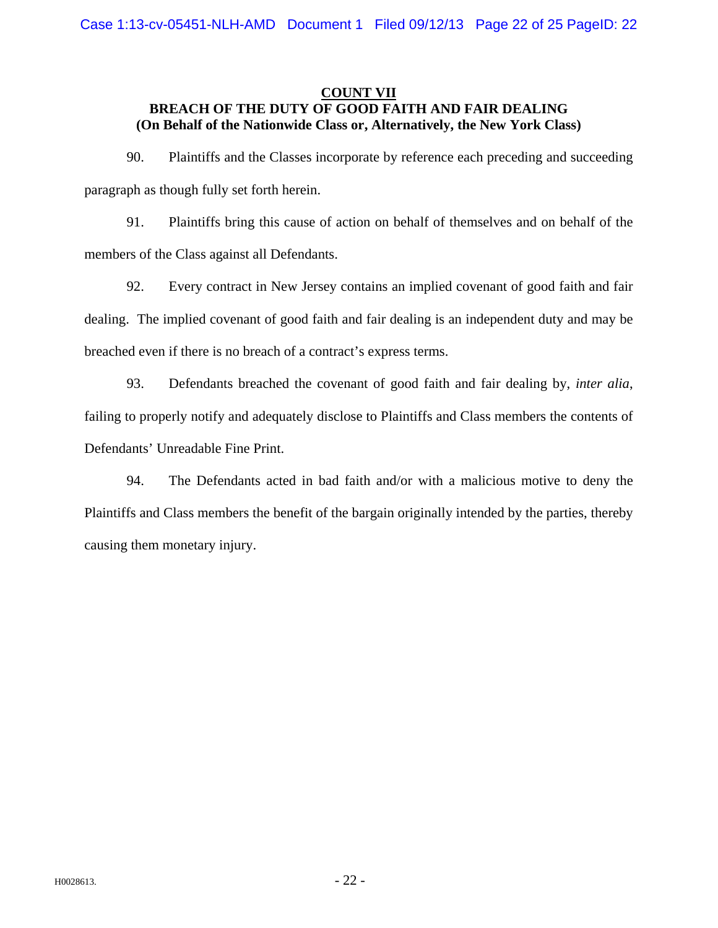## **COUNT VII BREACH OF THE DUTY OF GOOD FAITH AND FAIR DEALING (On Behalf of the Nationwide Class or, Alternatively, the New York Class)**

90. Plaintiffs and the Classes incorporate by reference each preceding and succeeding paragraph as though fully set forth herein.

91. Plaintiffs bring this cause of action on behalf of themselves and on behalf of the members of the Class against all Defendants.

92. Every contract in New Jersey contains an implied covenant of good faith and fair dealing. The implied covenant of good faith and fair dealing is an independent duty and may be breached even if there is no breach of a contract's express terms.

93. Defendants breached the covenant of good faith and fair dealing by, *inter alia*, failing to properly notify and adequately disclose to Plaintiffs and Class members the contents of Defendants' Unreadable Fine Print.

94. The Defendants acted in bad faith and/or with a malicious motive to deny the Plaintiffs and Class members the benefit of the bargain originally intended by the parties, thereby causing them monetary injury.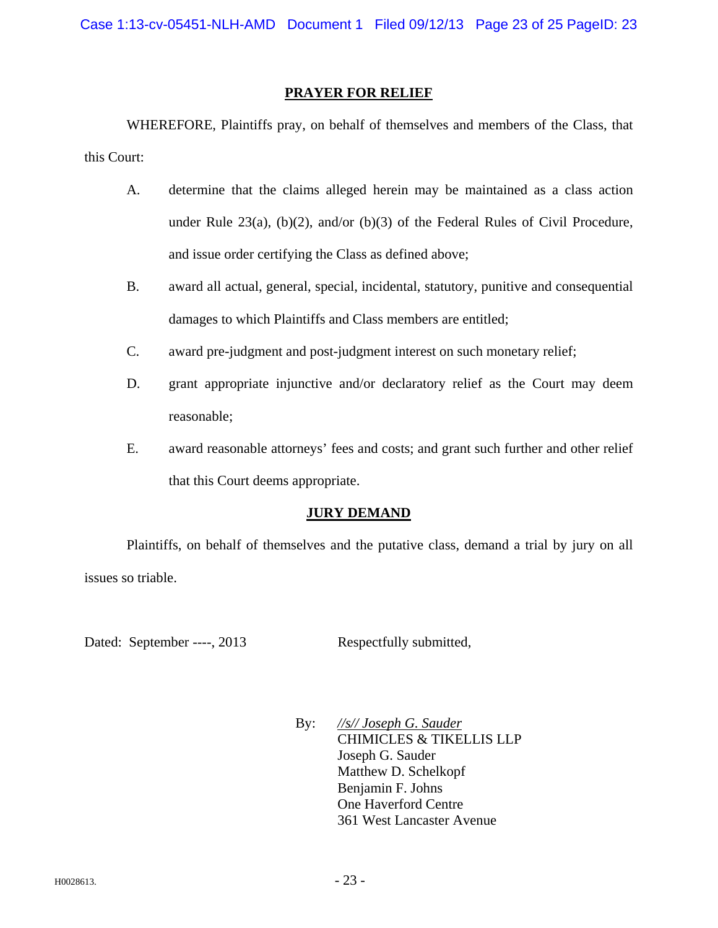#### **PRAYER FOR RELIEF**

 WHEREFORE, Plaintiffs pray, on behalf of themselves and members of the Class, that this Court:

- A. determine that the claims alleged herein may be maintained as a class action under Rule  $23(a)$ , (b)(2), and/or (b)(3) of the Federal Rules of Civil Procedure, and issue order certifying the Class as defined above;
- B. award all actual, general, special, incidental, statutory, punitive and consequential damages to which Plaintiffs and Class members are entitled;
- C. award pre-judgment and post-judgment interest on such monetary relief;
- D. grant appropriate injunctive and/or declaratory relief as the Court may deem reasonable;
- E. award reasonable attorneys' fees and costs; and grant such further and other relief that this Court deems appropriate.

## **JURY DEMAND**

Plaintiffs, on behalf of themselves and the putative class, demand a trial by jury on all issues so triable.

Dated: September ----, 2013 Respectfully submitted,

 By: *//s// Joseph G. Sauder*  CHIMICLES & TIKELLIS LLP Joseph G. Sauder Matthew D. Schelkopf Benjamin F. Johns One Haverford Centre 361 West Lancaster Avenue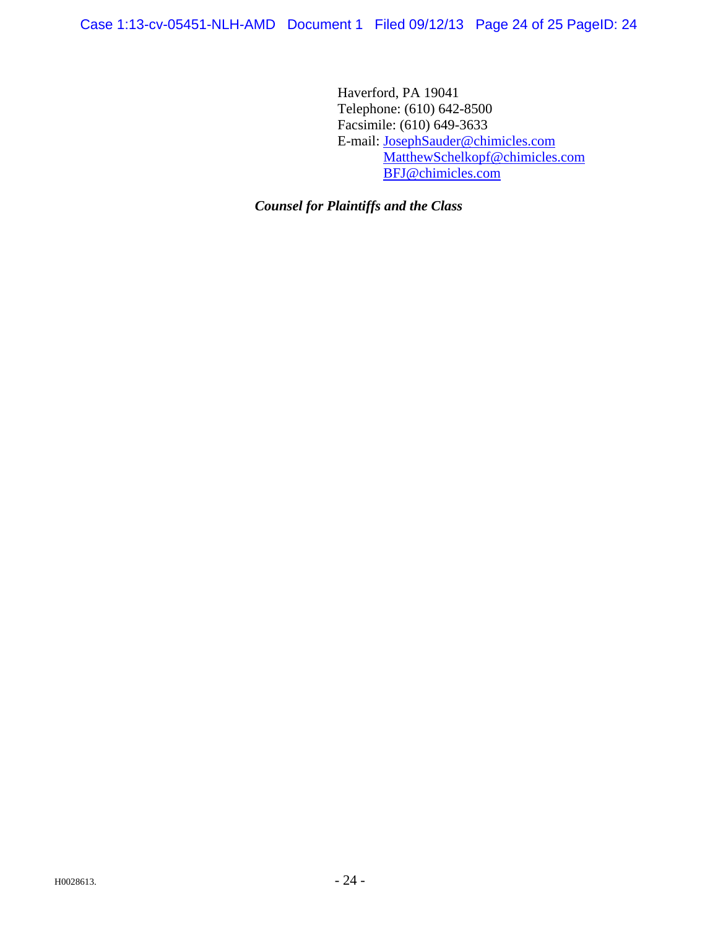Haverford, PA 19041 Telephone: (610) 642-8500 Facsimile: (610) 649-3633 E-mail: JosephSauder@chimicles.com MatthewSchelkopf@chimicles.com BFJ@chimicles.com

*Counsel for Plaintiffs and the Class*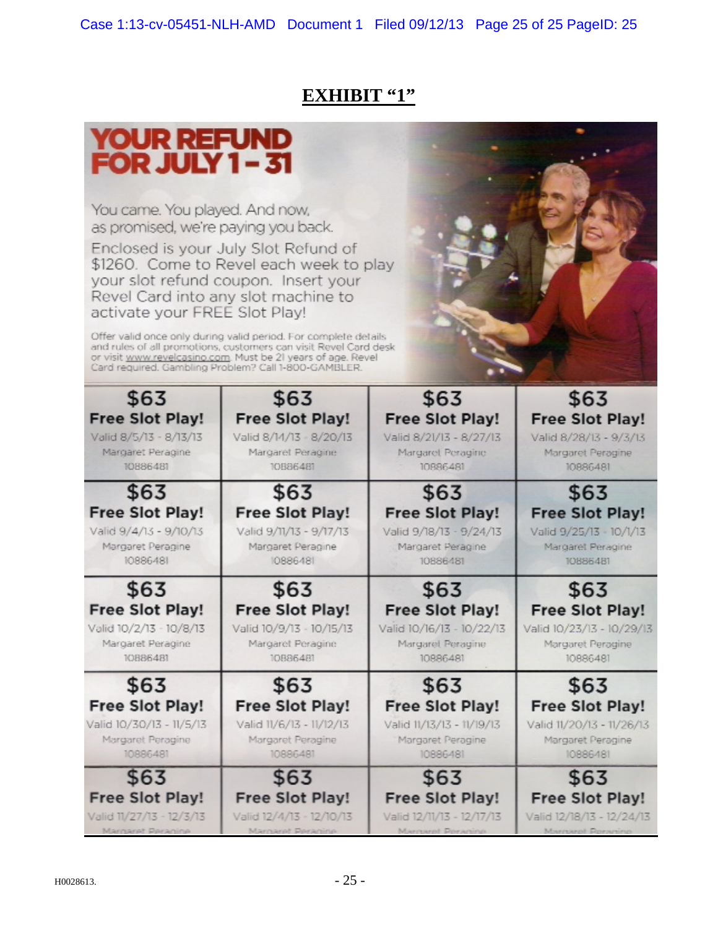# **EXHIBIT "1"**

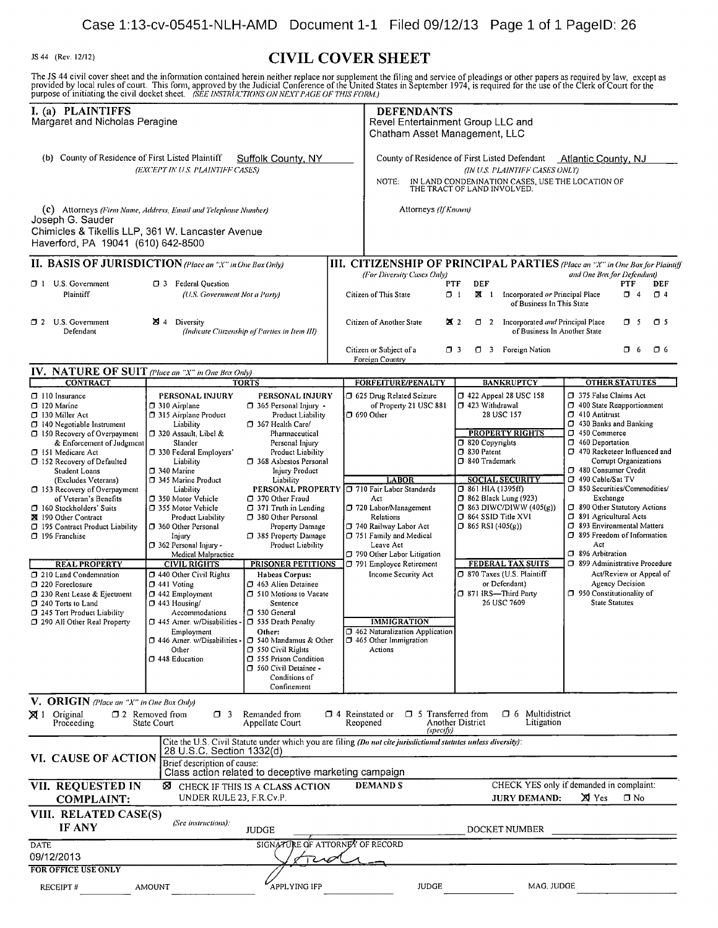Case 1:13-cv-05451-NLH-AMD Document 1-1 Filed 09/12/13 Page 1 of 1 PagelD: 26 JS <sup>44</sup> (Rev. 12/12) CIVIL COVER SHEET The JS 44 civil cover sheet and the information contained herein neither replace nor supplement the filing and service of pleadings or other papers as required by law, except as<br>provided by local rules of court. This form, I. (a) PLAINTIFFS **DEFENDANTS**<br>
Margaret and Nicholas Peragine **DEFENDANTS** Revel Entertainment Group LLC and Chatham Asset Management, LLC (b) County of Residence of First Listed Plaintiff Suffolk County, NY County of Residence of First Listed Defendant Atlantic County, NJ<br>(IN U.S. PLAINTIFF CASES ONLY) (EXCEPT IN U.S. PLAINTIFF CASES) NOTE: IN LAND CONDEMNATION CASES, USE THE LOCATION OF THE TRACT OF LAND INVOLVED. (c) Attorneys (Firm Name, Address, Email and Telephone Number) Attorneys (If Known) Joseph G. Sauder Chimicles & Tikellis LLP, 361 W. Lancaster Avenue Haverford, PA 19041 (610) 642-8500 **II. BASIS OF JURISDICTION** (Place an "X" in One Box Only) **III. CITIZENSHIP OF PRINCIPAL PARTIES** (Place an "X" in One Box for Plaintiff<br>(For Diversity Cases Only) and One Box for Defendant) (For Diversity Cases Only) and One Box for Defendant)<br>PTF DEF **DEF DEF PTF** DEF O <sup>1</sup> U.S. Government 0 <sup>3</sup> Federal Question PTF DEF PTF DEF Plaintiff (U.S. Government Not a Party) Citizen of This State  $\Box$  1 **IM** 1 Incorporated or Principal Place  $\Box$  4  $\Box$  4 of Business In This State O 2 U.S. Government M 4 Diversity (Indicate Citizen of Parties in Item III) Citizen of Another State M 2 0 2 Incorporated and Principal Place 0 5 0 5<br>Obefendant (Indicate Citizenship of Parties in Item III) (Indicate Citiz (Indicate Citizenship of Parties in Item III) Citizen or Subject of a  $\Box$  3  $\Box$  3 Foreign Nation  $\Box$  6  $\Box$  6 Foreign Country **IV. NATURE OF SUIT** (Place an "X" in One Box Only) TORTS **FORFEITURE/PENALTY BANKRUPTCY TORTS STATUTES** O 110 Insurance **PERSONAL INJURY PERSONAL INJURY** O 625 Drug Related Seizure 0 422 Appeal 28 USC 158 0 375 False Claims Act<br>
O 310 Airplane 0 365 Personal Injury - of Property 21 USC 881 0 423 Withdrawal 0 400 State Reappo O 120 Marine 0 310 Airplane 0 365 Personal Injury - of Property 21 USC 881 0 423 Withdrawal 0 400 State Reapportionment 0 315 Airplane Product Product Liability 0 690 Other 28 USC 157 0 410 Antitrust O 140 Negotiable Instrument Liability D 367 Health Care/ 0 430 Banks and Banking D 430 Banks and Banking D 430 Banks and Banking D 150 Commerce  $\begin{array}{c|c|c|c|c|c} \hline \text{D} & \text{150 Recovery of Overpayment} & \text{D} & \text{320 Assault, Libel & \text{Pharmacetrical} & \text{Personal Injury} & \text{D} & \text{320 Copyrightts} & \text{D} & \text{330 Potential} & \text{D} & \text{450 Commerce} \\ \hline \end{array}$ Pederal Employers Product Liability Product Liability D<br>
Corrupt Organizations D 368 Asbestos Personal D S40 Trademark Corrupt Organizations O 152 Recovery of Defaulted Liability 1368 Asbestos Personal Student Loans D 340 Marine 1. Student Loans 19 340 Marine 1 340 Marine 1 340 Marine 1 340 Consumer Credit<br>
(Excludes Veterans) 345 Marine Product Liability Liability 1 480 R SOCIAL SECURITY 1 480 Consumer Credit (Exclude 1345 Marine Product Liability LABOR LABOR SOCIAL SECURITY | 0 490 Cable/Sat TV<br>Liability PERSONAL PROPERTY | 0 710 Fair Labor Standards | 0 861 HIA (1395ff) | 0 850 Securities/Commodities/ O 153 Recovery of Overpayment | Liability PERSONAL PROPERTY | 710 Fair Labor Standards | 0 861 HIA (1395ff) | 0 850 Securities/<br>
of Veteran's Benefits | 0 350 Motor Vehicle | 0 370 Other Fraud | Act | 0 862 Black Lung (923 of Veteran's Benefits  $\Box$  350 Motor Vehicle  $\Box$  370 Other Fraud Act Act  $\Box$  862 Black Lung (923) and B62 Black Lung (923) Exchangement  $\Box$  862 Black Lung (923) Exchangement  $\Box$  863 DIWC/DIWW (405(g)) 0 160 Stockholders' Suits 1 355 Motor Vehicle 1 371 Truth in Lending 1 720 Labor/Management 1 363 DIWC/DIWW (405(g)) 0 890 Other Statutory Actions 1 280 Other Statutory Actions 1 280 Other Personal 1 864 SID Title XVI 1 39 ISI <sup>190</sup> Other Contract Product Liability 0 <sup>380</sup> Other Personal Relations 0 <sup>864</sup> SSID Title XVI 0 <sup>891</sup> Agricultural Acts O 195 Contract Product Liability 0 360 Other Personal Property Damage 0 740 Railway Labor Act 0 196 Franchise Injury 0 385 Property Damage 0 751 Family and Medical Property Damage 751 Family and Medical Product Liability Leave Act 1969 Freedom of Information □ 362 Personal Injury - Product Liability Leave Act Leave Contraction Number 2012 10:362 Personal Injury - Act Act Liability D 790 Other Labor Litigation Number 2013 10:396 Arbitration Medical Malpractice  $\overline{CIVIL}$  RIGHTS PRISONER PETITIONS  $\overline{O}$  790 Other Labor Litigation CIVIL RIGHTS PRISONER PETITIONS  $\overline{O}$  791 Employee Retirement FEDERAL TAX SUITS REAL PROPERTY CIVIL RIGHTS PRISONER PETITIONS [791 Employee Retirement FEDERAL TAX SUITS | 399 Administrative Procedure<br>Land Condemnation | 0 440 Other Civil Rights | Habeas Corpus: Income Security Act | 0 870 Taxes (U.S. 0 210 Land Condemnation 0 440 Other Civil Rights Habeas Corpus: Income Security Act 0 870 Taxes (U.S. Plaintiff Act/Review or Appeal of Agency Decision 1 441 Voting 1 463 Alien Detainee D 220 Foreclosure 1 441 Voting 1 463 Alien Detainee 1 1 120 Foreclosure Agency Decision  $\begin{array}{c|c|c|c|c|c} \hline \text{0 320 Ren} & \text{0 442 Employment} & \text{0 510 Notions to Vacate} & \text{143 Housing/} & \text{1443 Housing/} & \text{145} & \text{146} & \text{147} & \text{148} & \text{149} \\ \hline \end{array}$ D 240 Torts to Land  $\Box$  443 Housing/ Sentence 26 USC 7609 State Statutes  $\Box$  245 Tort Product Liability Accommodations  $\Box$  530 General  $\Box$  290 All Other Real Property  $\Box$  445 Amer. w/Disabilities -  $\Box$  535 Death Penalty 0 290 All Other Real Property 0 445 Amer. w/Disabilities - 0 535 Death Penalty IMMIGRATION Cher. Employment **Other:**  $\Box$  446 Amer. w/Disabilities -  $\Box$  540 Mandamus & Other  $\Box$  465 Other Immigration Amer. w/Disabilities -  $\begin{bmatrix} 0 & 540 \ 0 & 550 \end{bmatrix}$  Civil Rights  $\begin{bmatrix} 0 & 465 \ 0 & 465 \end{bmatrix}$  Actions Other **D** 550 Civil Rights<br> **C** 448 Education **D** 555 Prison Cond 0 <sup>448</sup> Education 0 <sup>555</sup> Prison Condition 0 <sup>560</sup> Civil Detainee Conditions of Confinement V. ORIGIN (Place an "X" in One Box Only)

| ⊠1                                                                      | Original<br>Proceeding     | $\Box$ 2                    | State Court   | Removed from              | Π.                                                   |  | Remanded from<br>Appellate Court                                                                               |  | $\Box$ 4 Reinstated or<br>Reopened |  | □ 5 Transferred from<br>Another District<br>(specify) | D 6 | Multidistrict<br>Litigation              |        |           |
|-------------------------------------------------------------------------|----------------------------|-----------------------------|---------------|---------------------------|------------------------------------------------------|--|----------------------------------------------------------------------------------------------------------------|--|------------------------------------|--|-------------------------------------------------------|-----|------------------------------------------|--------|-----------|
|                                                                         |                            |                             |               | 28 U.S.C. Section 1332(d) |                                                      |  | Cite the U.S. Civil Statute under which you are filing (Do not cite jurisdictional statutes unless diversity): |  |                                    |  |                                                       |     |                                          |        |           |
|                                                                         | VI. CAUSE OF ACTION        | Brief description of cause: |               |                           | Class action related to deceptive marketing campaign |  |                                                                                                                |  |                                    |  |                                                       |     |                                          |        |           |
|                                                                         | VII. REQUESTED IN          |                             |               | ⊠                         |                                                      |  | CHECK IF THIS IS A CLASS ACTION                                                                                |  | <b>DEMANDS</b>                     |  |                                                       |     | CHECK YES only if demanded in complaint. |        |           |
|                                                                         | <b>COMPLAINT:</b>          |                             |               |                           |                                                      |  | UNDER RULE 23, F.R.Cv.P.                                                                                       |  |                                    |  |                                                       |     | <b>JURY DEMAND:</b>                      | XI Yes | $\Box$ No |
| VIII. RELATED CASE(S)<br>(See instructions):<br>IF ANY<br>DOCKET NUMBER |                            |                             |               |                           |                                                      |  |                                                                                                                |  |                                    |  |                                                       |     |                                          |        |           |
|                                                                         |                            |                             |               |                           |                                                      |  | <b>JUDGE</b>                                                                                                   |  |                                    |  |                                                       |     |                                          |        |           |
| DATE                                                                    |                            |                             |               |                           |                                                      |  | SIGNATURE OF ATTORNEY OF RECORD                                                                                |  |                                    |  |                                                       |     |                                          |        |           |
|                                                                         | 09/12/2013                 |                             |               |                           |                                                      |  |                                                                                                                |  |                                    |  |                                                       |     |                                          |        |           |
|                                                                         | <b>FOR OFFICE USE ONLY</b> |                             |               |                           |                                                      |  |                                                                                                                |  |                                    |  |                                                       |     |                                          |        |           |
|                                                                         | <b>RECEIPT#</b>            |                             | <b>AMOUNT</b> |                           |                                                      |  | <b>APPLYING IFP</b>                                                                                            |  |                                    |  | JUDGE                                                 |     | MAG. JUDGE                               |        |           |